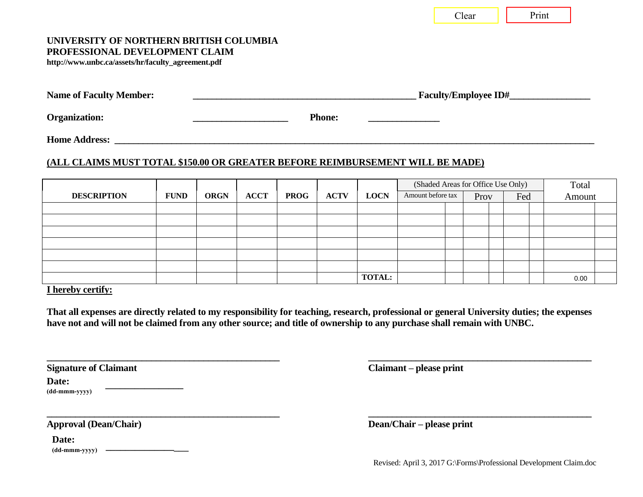Clear | Print

### **UNIVERSITY OF NORTHERN BRITISH COLUMBIA PROFESSIONAL DEVELOPMENT CLAIM**

**http://www.unbc.ca/assets/hr/faculty\_agreement.pdf** 

| <b>Name of Faculty Member:</b> | <b>Faculty/Employee ID#</b> |
|--------------------------------|-----------------------------|
|                                |                             |

Organization: **We cannot a constant of the constant of the constant of the Phone: Phone:** 

**Home Address:** 

c/o Address Not Permitted

## **(ALL CLAIMS MUST TOTAL \$150.00 OR GREATER BEFORE REIMBURSEMENT WILL BE MADE)**

|                    |             |             |             |             |             |               | (Shaded Areas for Office Use Only) |  |      |  | Total |  |        |  |
|--------------------|-------------|-------------|-------------|-------------|-------------|---------------|------------------------------------|--|------|--|-------|--|--------|--|
| <b>DESCRIPTION</b> | <b>FUND</b> | <b>ORGN</b> | <b>ACCT</b> | <b>PROG</b> | <b>ACTV</b> | <b>LOCN</b>   | Amount before tax                  |  | Prov |  | Fed   |  | Amount |  |
|                    |             |             |             |             |             |               |                                    |  |      |  |       |  |        |  |
|                    |             |             |             |             |             |               |                                    |  |      |  |       |  |        |  |
|                    |             |             |             |             |             |               |                                    |  |      |  |       |  |        |  |
|                    |             |             |             |             |             |               |                                    |  |      |  |       |  |        |  |
|                    |             |             |             |             |             |               |                                    |  |      |  |       |  |        |  |
|                    |             |             |             |             |             |               |                                    |  |      |  |       |  |        |  |
|                    |             |             |             |             |             | <b>TOTAL:</b> |                                    |  |      |  |       |  | 0.00   |  |

**I hereby certify:** 

**That all expenses are directly related to my responsibility for teaching, research, professional or general University duties; the expenses have not and will not be claimed from any other source; and title of ownership to any purchase shall remain with UNBC.** 

**\_\_\_\_\_\_\_\_\_\_\_\_\_\_\_\_\_\_\_\_\_\_\_\_\_\_\_\_\_\_\_\_\_\_\_\_\_\_\_\_\_\_\_\_\_\_\_\_\_ \_\_\_\_\_\_\_\_\_\_\_\_\_\_\_\_\_\_\_\_\_\_\_\_\_\_\_\_\_\_\_\_\_\_\_\_\_\_\_\_\_\_\_\_\_\_\_** 

**\_\_\_\_\_\_\_\_\_\_\_\_\_\_\_\_\_\_\_\_\_\_\_\_\_\_\_\_\_\_\_\_\_\_\_\_\_\_\_\_\_\_\_\_\_\_\_\_\_ \_\_\_\_\_\_\_\_\_\_\_\_\_\_\_\_\_\_\_\_\_\_\_\_\_\_\_\_\_\_\_\_\_\_\_\_\_\_\_\_\_\_\_\_\_\_\_** 

| <b>Signature of Claimant</b> |  |
|------------------------------|--|
|------------------------------|--|

**Date:**

**(dd-mmm-yyyy)**

| Date:         |  |
|---------------|--|
| (dd-mmm-yyyy) |  |

**\_\_\_\_\_\_\_\_\_\_\_\_\_\_\_\_**

**Claimant – please print** 

**Approval (Dean/Chair) Dean/Chair – please print**